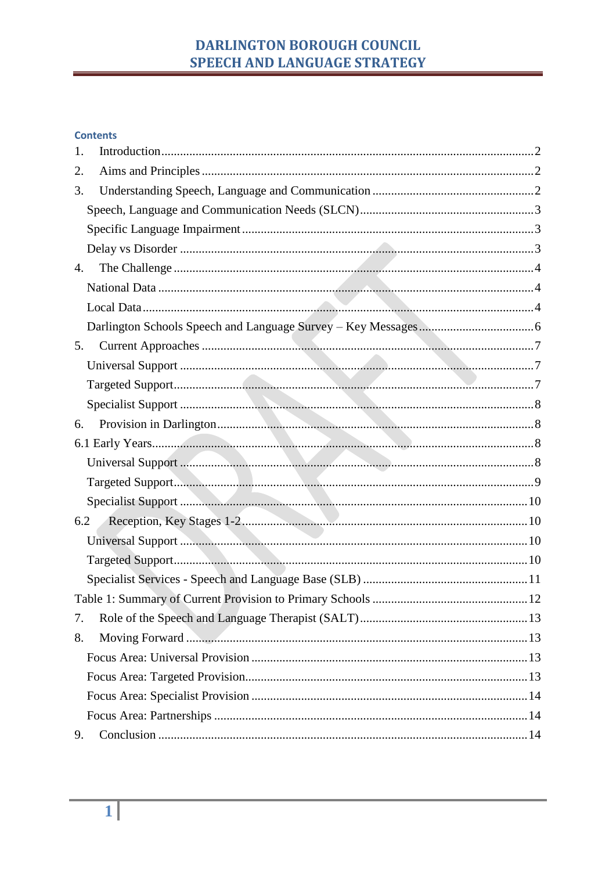# DARLINGTON BOROUGH COUNCIL SPEECH AND LANGUAGE STRATEGY

#### **Contents**

| 1.  |  |
|-----|--|
| 2.  |  |
| 3.  |  |
|     |  |
|     |  |
|     |  |
| 4.  |  |
|     |  |
|     |  |
|     |  |
| 5.  |  |
|     |  |
|     |  |
|     |  |
| 6.  |  |
|     |  |
|     |  |
|     |  |
|     |  |
| 6.2 |  |
|     |  |
|     |  |
|     |  |
|     |  |
| 7.  |  |
| 8.  |  |
|     |  |
|     |  |
|     |  |
|     |  |
| 9.  |  |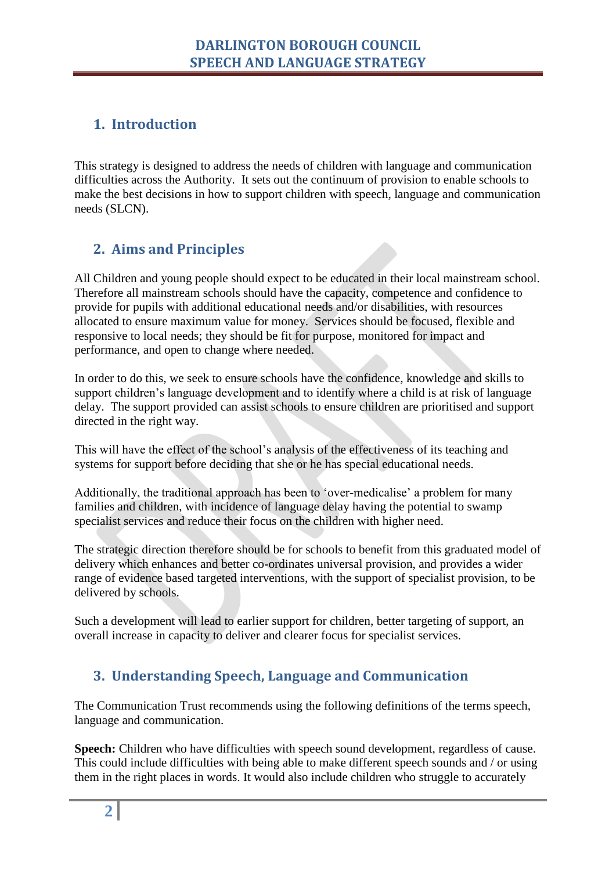# <span id="page-1-0"></span>**1. Introduction**

This strategy is designed to address the needs of children with language and communication difficulties across the Authority. It sets out the continuum of provision to enable schools to make the best decisions in how to support children with speech, language and communication needs (SLCN).

# <span id="page-1-1"></span>**2. Aims and Principles**

All Children and young people should expect to be educated in their local mainstream school. Therefore all mainstream schools should have the capacity, competence and confidence to provide for pupils with additional educational needs and/or disabilities, with resources allocated to ensure maximum value for money. Services should be focused, flexible and responsive to local needs; they should be fit for purpose, monitored for impact and performance, and open to change where needed.

In order to do this, we seek to ensure schools have the confidence, knowledge and skills to support children's language development and to identify where a child is at risk of language delay. The support provided can assist schools to ensure children are prioritised and support directed in the right way.

This will have the effect of the school's analysis of the effectiveness of its teaching and systems for support before deciding that she or he has special educational needs.

Additionally, the traditional approach has been to 'over-medicalise' a problem for many families and children, with incidence of language delay having the potential to swamp specialist services and reduce their focus on the children with higher need.

The strategic direction therefore should be for schools to benefit from this graduated model of delivery which enhances and better co-ordinates universal provision, and provides a wider range of evidence based targeted interventions, with the support of specialist provision, to be delivered by schools.

<span id="page-1-2"></span>Such a development will lead to earlier support for children, better targeting of support, an overall increase in capacity to deliver and clearer focus for specialist services.

# **3. Understanding Speech, Language and Communication**

The Communication Trust recommends using the following definitions of the terms speech, language and communication.

**Speech:** Children who have difficulties with speech sound development, regardless of cause. This could include difficulties with being able to make different speech sounds and / or using them in the right places in words. It would also include children who struggle to accurately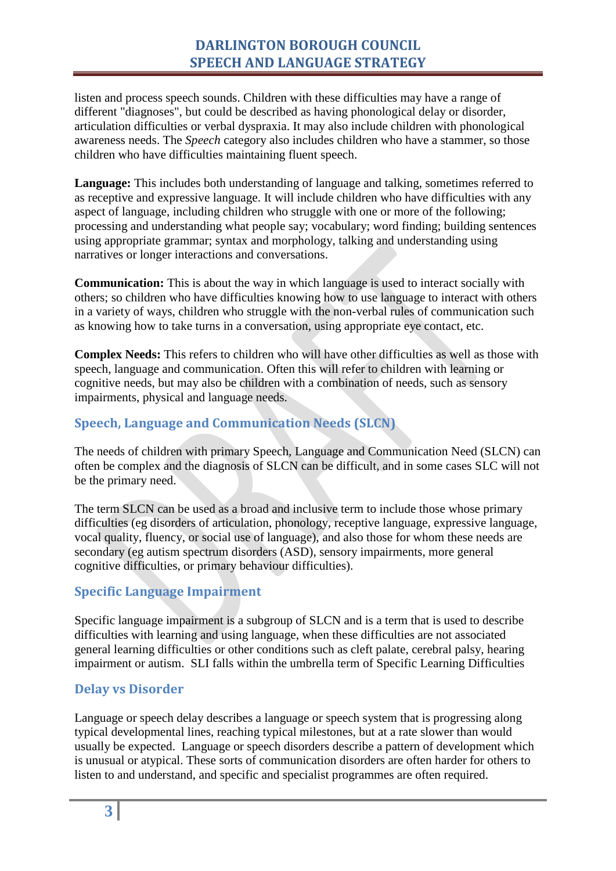listen and process speech sounds. Children with these difficulties may have a range of different "diagnoses", but could be described as having phonological delay or disorder, articulation difficulties or verbal dyspraxia. It may also include children with phonological awareness needs. The *Speech* category also includes children who have a stammer, so those children who have difficulties maintaining fluent speech.

**Language:** This includes both understanding of language and talking, sometimes referred to as receptive and expressive language. It will include children who have difficulties with any aspect of language, including children who struggle with one or more of the following; processing and understanding what people say; vocabulary; word finding; building sentences using appropriate grammar; syntax and morphology, talking and understanding using narratives or longer interactions and conversations.

**Communication:** This is about the way in which language is used to interact socially with others; so children who have difficulties knowing how to use language to interact with others in a variety of ways, children who struggle with the non-verbal rules of communication such as knowing how to take turns in a conversation, using appropriate eye contact, etc.

**Complex Needs:** This refers to children who will have other difficulties as well as those with speech, language and communication. Often this will refer to children with learning or cognitive needs, but may also be children with a combination of needs, such as sensory impairments, physical and language needs.

#### <span id="page-2-0"></span>**Speech, Language and Communication Needs (SLCN)**

The needs of children with primary Speech, Language and Communication Need (SLCN) can often be complex and the diagnosis of SLCN can be difficult, and in some cases SLC will not be the primary need.

The term SLCN can be used as a broad and inclusive term to include those whose primary difficulties (eg disorders of articulation, phonology, receptive language, expressive language, vocal quality, fluency, or social use of language), and also those for whom these needs are secondary (eg autism spectrum disorders (ASD), sensory impairments, more general cognitive difficulties, or primary behaviour difficulties).

### <span id="page-2-1"></span>**Specific Language Impairment**

Specific language impairment is a subgroup of SLCN and is a term that is used to describe difficulties with learning and using language, when these difficulties are not associated general learning difficulties or other conditions such as cleft palate, cerebral palsy, hearing impairment or autism. SLI falls within the umbrella term of Specific Learning Difficulties

#### <span id="page-2-2"></span>**Delay vs Disorder**

Language or speech delay describes a language or speech system that is progressing along typical developmental lines, reaching typical milestones, but at a rate slower than would usually be expected. Language or speech disorders describe a pattern of development which is unusual or atypical. These sorts of communication disorders are often harder for others to listen to and understand, and specific and specialist programmes are often required.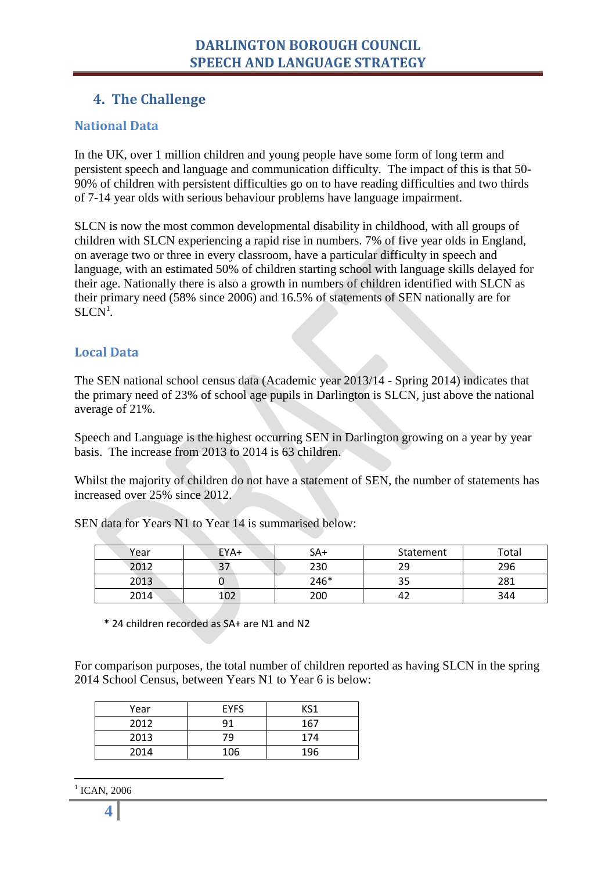### <span id="page-3-0"></span>**4. The Challenge**

#### <span id="page-3-1"></span>**National Data**

In the UK, over 1 million children and young people have some form of long term and persistent speech and language and communication difficulty. The impact of this is that 50- 90% of children with persistent difficulties go on to have reading difficulties and two thirds of 7-14 year olds with serious behaviour problems have language impairment.

SLCN is now the most common developmental disability in childhood, with all groups of children with SLCN experiencing a rapid rise in numbers. 7% of five year olds in England, on average two or three in every classroom, have a particular difficulty in speech and language, with an estimated 50% of children starting school with language skills delayed for their age. Nationally there is also a growth in numbers of children identified with SLCN as their primary need (58% since 2006) and 16.5% of statements of SEN nationally are for  $SLCN<sup>1</sup>$ .

#### <span id="page-3-2"></span>**Local Data**

The SEN national school census data (Academic year 2013/14 - Spring 2014) indicates that the primary need of 23% of school age pupils in Darlington is SLCN, just above the national average of 21%.

Speech and Language is the highest occurring SEN in Darlington growing on a year by year basis. The increase from 2013 to 2014 is 63 children.

Whilst the majority of children do not have a statement of SEN, the number of statements has increased over 25% since 2012.

SEN data for Years N1 to Year 14 is summarised below:

| Year | EYA+         | $SA+$ | Statement | Total |
|------|--------------|-------|-----------|-------|
| 2012 | $\mathbf{a}$ | 230   | 29        | 296   |
| 2013 |              | 246*  | ر ر       | 281   |
| 2014 | 102          | 200   |           | 344   |

\* 24 children recorded as SA+ are N1 and N2

For comparison purposes, the total number of children reported as having SLCN in the spring 2014 School Census, between Years N1 to Year 6 is below:

| Year | <b>EYFS</b> | KS1 |
|------|-------------|-----|
| 2012 | 91          | 167 |
| 2013 | 79          | 174 |
| 2014 | 106         | 196 |

1 1 ICAN, 2006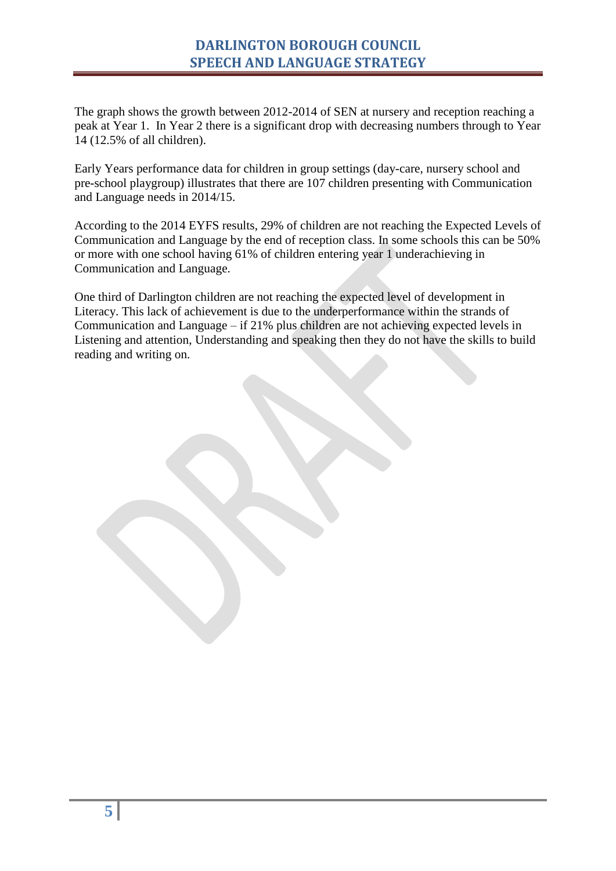The graph shows the growth between 2012-2014 of SEN at nursery and reception reaching a peak at Year 1. In Year 2 there is a significant drop with decreasing numbers through to Year 14 (12.5% of all children).

Early Years performance data for children in group settings (day-care, nursery school and pre-school playgroup) illustrates that there are 107 children presenting with Communication and Language needs in 2014/15.

According to the 2014 EYFS results, 29% of children are not reaching the Expected Levels of Communication and Language by the end of reception class. In some schools this can be 50% or more with one school having 61% of children entering year 1 underachieving in Communication and Language.

One third of Darlington children are not reaching the expected level of development in Literacy. This lack of achievement is due to the underperformance within the strands of Communication and Language – if 21% plus children are not achieving expected levels in Listening and attention, Understanding and speaking then they do not have the skills to build reading and writing on.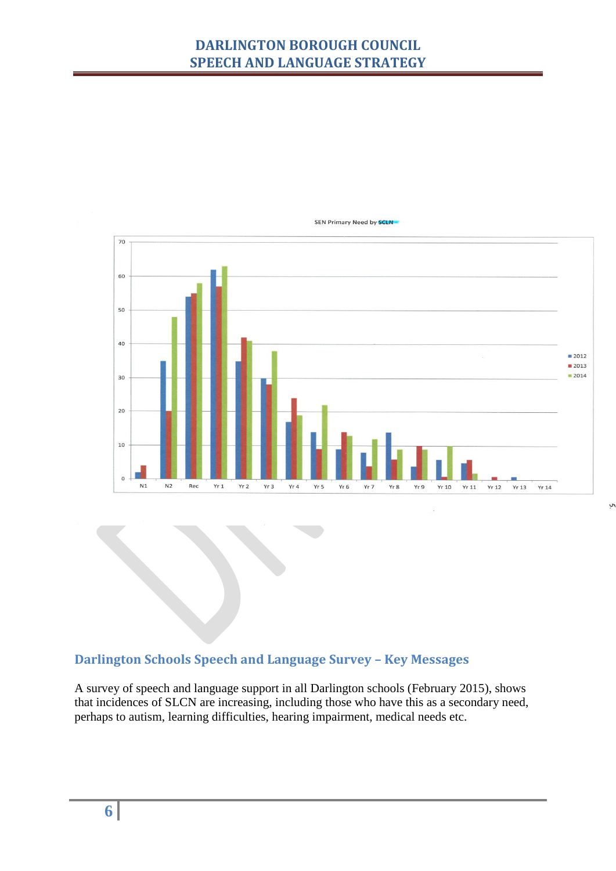# **DARLINGTON BOROUGH COUNCIL SPEECH AND LANGUAGE STRATEGY**



SEN Primary Need by **SCLN** 

## <span id="page-5-0"></span>**Darlington Schools Speech and Language Survey – Key Messages**

A survey of speech and language support in all Darlington schools (February 2015), shows that incidences of SLCN are increasing, including those who have this as a secondary need, perhaps to autism, learning difficulties, hearing impairment, medical needs etc.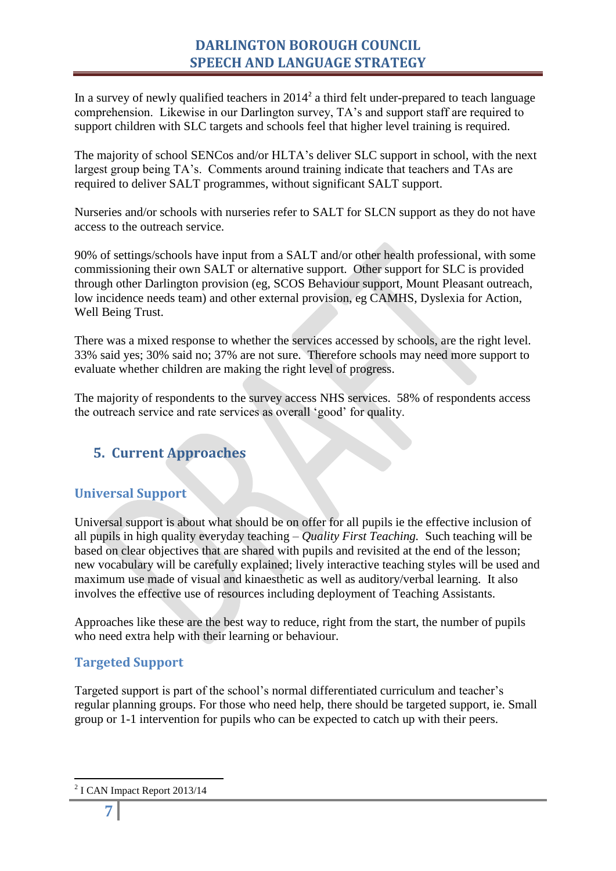In a survey of newly qualified teachers in  $2014<sup>2</sup>$  a third felt under-prepared to teach language comprehension. Likewise in our Darlington survey, TA's and support staff are required to support children with SLC targets and schools feel that higher level training is required.

The majority of school SENCos and/or HLTA's deliver SLC support in school, with the next largest group being TA's. Comments around training indicate that teachers and TAs are required to deliver SALT programmes, without significant SALT support.

Nurseries and/or schools with nurseries refer to SALT for SLCN support as they do not have access to the outreach service.

90% of settings/schools have input from a SALT and/or other health professional, with some commissioning their own SALT or alternative support. Other support for SLC is provided through other Darlington provision (eg, SCOS Behaviour support, Mount Pleasant outreach, low incidence needs team) and other external provision, eg CAMHS, Dyslexia for Action, Well Being Trust.

There was a mixed response to whether the services accessed by schools, are the right level. 33% said yes; 30% said no; 37% are not sure. Therefore schools may need more support to evaluate whether children are making the right level of progress.

<span id="page-6-0"></span>The majority of respondents to the survey access NHS services. 58% of respondents access the outreach service and rate services as overall 'good' for quality.

# **5. Current Approaches**

### <span id="page-6-1"></span>**Universal Support**

Universal support is about what should be on offer for all pupils ie the effective inclusion of all pupils in high quality everyday teaching – *Quality First Teaching.* Such teaching will be based on clear objectives that are shared with pupils and revisited at the end of the lesson; new vocabulary will be carefully explained; lively interactive teaching styles will be used and maximum use made of visual and kinaesthetic as well as auditory/verbal learning. It also involves the effective use of resources including deployment of Teaching Assistants.

Approaches like these are the best way to reduce, right from the start, the number of pupils who need extra help with their learning or behaviour.

### <span id="page-6-2"></span>**Targeted Support**

Targeted support is part of the school's normal differentiated curriculum and teacher's regular planning groups. For those who need help, there should be targeted support, ie. Small group or 1-1 intervention for pupils who can be expected to catch up with their peers.

1

<sup>&</sup>lt;sup>2</sup> I CAN Impact Report 2013/14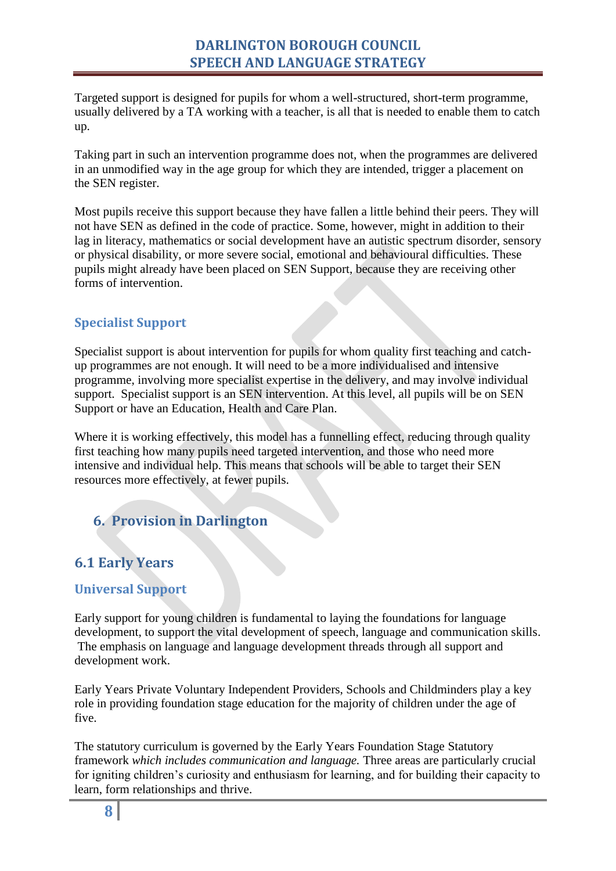Targeted support is designed for pupils for whom a well-structured, short-term programme, usually delivered by a TA working with a teacher, is all that is needed to enable them to catch up.

Taking part in such an intervention programme does not, when the programmes are delivered in an unmodified way in the age group for which they are intended, trigger a placement on the SEN register.

Most pupils receive this support because they have fallen a little behind their peers. They will not have SEN as defined in the code of practice. Some, however, might in addition to their lag in literacy, mathematics or social development have an autistic spectrum disorder, sensory or physical disability, or more severe social, emotional and behavioural difficulties. These pupils might already have been placed on SEN Support, because they are receiving other forms of intervention.

### <span id="page-7-0"></span>**Specialist Support**

Specialist support is about intervention for pupils for whom quality first teaching and catchup programmes are not enough. It will need to be a more individualised and intensive programme, involving more specialist expertise in the delivery, and may involve individual support. Specialist support is an SEN intervention. At this level, all pupils will be on SEN Support or have an Education, Health and Care Plan.

Where it is working effectively, this model has a funnelling effect, reducing through quality first teaching how many pupils need targeted intervention, and those who need more intensive and individual help. This means that schools will be able to target their SEN resources more effectively, at fewer pupils.

# <span id="page-7-1"></span>**6. Provision in Darlington**

# <span id="page-7-2"></span>**6.1 Early Years**

#### <span id="page-7-3"></span>**Universal Support**

Early support for young children is fundamental to laying the foundations for language development, to support the vital development of speech, language and communication skills. The emphasis on language and language development threads through all support and development work.

Early Years Private Voluntary Independent Providers, Schools and Childminders play a key role in providing foundation stage education for the majority of children under the age of five.

The statutory curriculum is governed by the Early Years Foundation Stage Statutory framework *which includes communication and language.* Three areas are particularly crucial for igniting children's curiosity and enthusiasm for learning, and for building their capacity to learn, form relationships and thrive.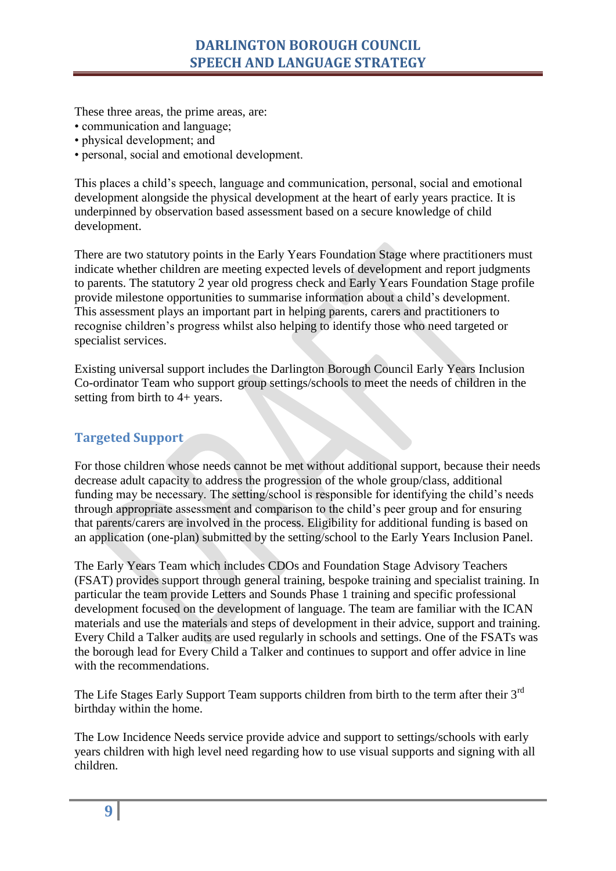## **DARLINGTON BOROUGH COUNCIL SPEECH AND LANGUAGE STRATEGY**

These three areas, the prime areas, are:

- communication and language;
- physical development; and
- personal, social and emotional development.

This places a child's speech, language and communication, personal, social and emotional development alongside the physical development at the heart of early years practice. It is underpinned by observation based assessment based on a secure knowledge of child development.

There are two statutory points in the Early Years Foundation Stage where practitioners must indicate whether children are meeting expected levels of development and report judgments to parents. The statutory 2 year old progress check and Early Years Foundation Stage profile provide milestone opportunities to summarise information about a child's development. This assessment plays an important part in helping parents, carers and practitioners to recognise children's progress whilst also helping to identify those who need targeted or specialist services.

Existing universal support includes the Darlington Borough Council Early Years Inclusion Co-ordinator Team who support group settings/schools to meet the needs of children in the setting from birth to 4+ years.

#### <span id="page-8-0"></span>**Targeted Support**

For those children whose needs cannot be met without additional support, because their needs decrease adult capacity to address the progression of the whole group/class, additional funding may be necessary. The setting/school is responsible for identifying the child's needs through appropriate assessment and comparison to the child's peer group and for ensuring that parents/carers are involved in the process. Eligibility for additional funding is based on an application (one-plan) submitted by the setting/school to the Early Years Inclusion Panel.

The Early Years Team which includes CDOs and Foundation Stage Advisory Teachers (FSAT) provides support through general training, bespoke training and specialist training. In particular the team provide Letters and Sounds Phase 1 training and specific professional development focused on the development of language. The team are familiar with the ICAN materials and use the materials and steps of development in their advice, support and training. Every Child a Talker audits are used regularly in schools and settings. One of the FSATs was the borough lead for Every Child a Talker and continues to support and offer advice in line with the recommendations.

The Life Stages Early Support Team supports children from birth to the term after their 3<sup>rd</sup> birthday within the home.

The Low Incidence Needs service provide advice and support to settings/schools with early years children with high level need regarding how to use visual supports and signing with all children.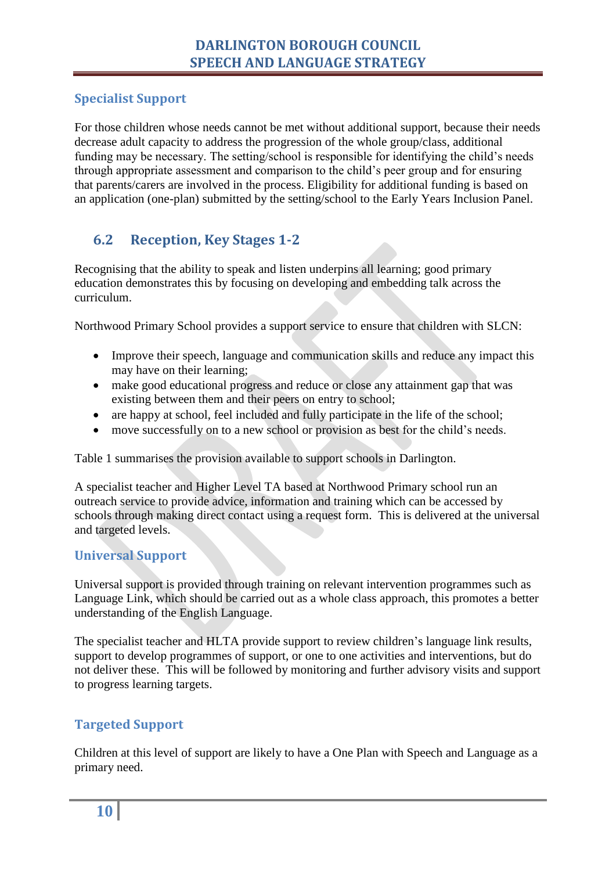### <span id="page-9-0"></span>**Specialist Support**

For those children whose needs cannot be met without additional support, because their needs decrease adult capacity to address the progression of the whole group/class, additional funding may be necessary. The setting/school is responsible for identifying the child's needs through appropriate assessment and comparison to the child's peer group and for ensuring that parents/carers are involved in the process. Eligibility for additional funding is based on an application (one-plan) submitted by the setting/school to the Early Years Inclusion Panel.

# <span id="page-9-1"></span>**6.2 Reception, Key Stages 1-2**

Recognising that the ability to speak and listen underpins all learning; good primary education demonstrates this by focusing on developing and embedding talk across the curriculum.

Northwood Primary School provides a support service to ensure that children with SLCN:

- Improve their speech, language and communication skills and reduce any impact this may have on their learning;
- make good educational progress and reduce or close any attainment gap that was existing between them and their peers on entry to school;
- are happy at school, feel included and fully participate in the life of the school;
- move successfully on to a new school or provision as best for the child's needs.

Table 1 summarises the provision available to support schools in Darlington.

A specialist teacher and Higher Level TA based at Northwood Primary school run an outreach service to provide advice, information and training which can be accessed by schools through making direct contact using a request form. This is delivered at the universal and targeted levels.

#### <span id="page-9-2"></span>**Universal Support**

Universal support is provided through training on relevant intervention programmes such as Language Link, which should be carried out as a whole class approach, this promotes a better understanding of the English Language.

The specialist teacher and HLTA provide support to review children's language link results, support to develop programmes of support, or one to one activities and interventions, but do not deliver these. This will be followed by monitoring and further advisory visits and support to progress learning targets.

### <span id="page-9-3"></span>**Targeted Support**

Children at this level of support are likely to have a One Plan with Speech and Language as a primary need.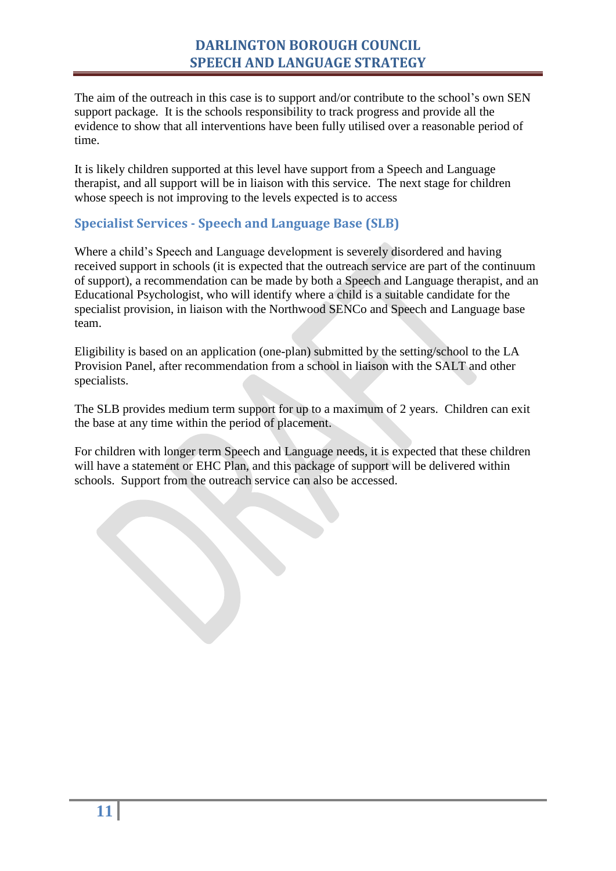The aim of the outreach in this case is to support and/or contribute to the school's own SEN support package. It is the schools responsibility to track progress and provide all the evidence to show that all interventions have been fully utilised over a reasonable period of time.

It is likely children supported at this level have support from a Speech and Language therapist, and all support will be in liaison with this service. The next stage for children whose speech is not improving to the levels expected is to access

#### <span id="page-10-0"></span>**Specialist Services - Speech and Language Base (SLB)**

Where a child's Speech and Language development is severely disordered and having received support in schools (it is expected that the outreach service are part of the continuum of support), a recommendation can be made by both a Speech and Language therapist, and an Educational Psychologist, who will identify where a child is a suitable candidate for the specialist provision, in liaison with the Northwood SENCo and Speech and Language base team.

Eligibility is based on an application (one-plan) submitted by the setting/school to the LA Provision Panel, after recommendation from a school in liaison with the SALT and other specialists.

The SLB provides medium term support for up to a maximum of 2 years. Children can exit the base at any time within the period of placement.

For children with longer term Speech and Language needs, it is expected that these children will have a statement or EHC Plan, and this package of support will be delivered within schools. Support from the outreach service can also be accessed.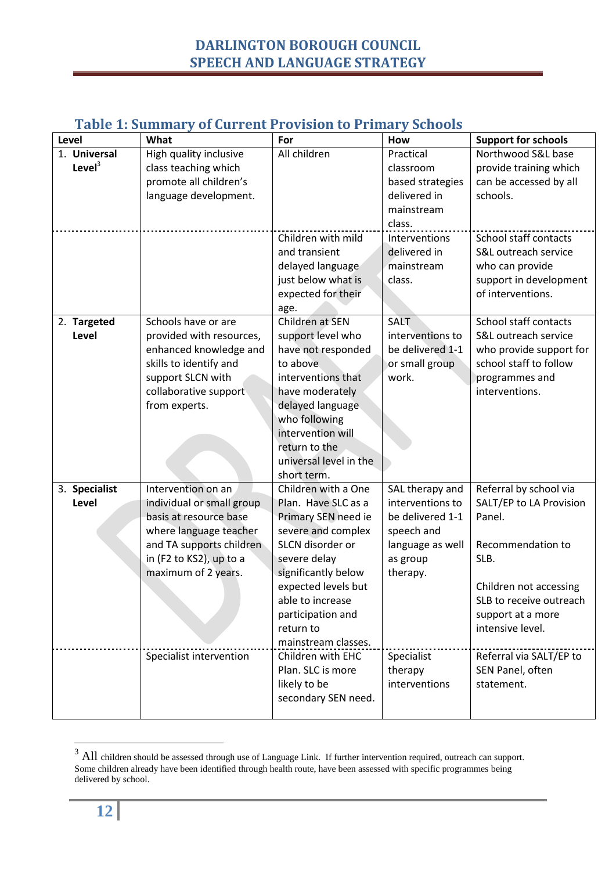# **DARLINGTON BOROUGH COUNCIL SPEECH AND LANGUAGE STRATEGY**

| Level                     | rabic 1. Junimary of Carl Cherry Found to Fringry Jenovis<br>What                                                                                                                                            | For                                                                                                                                                                                                                                                                         | How                                                                                                                             | <b>Support for schools</b>                                                                                                                                                                                        |
|---------------------------|--------------------------------------------------------------------------------------------------------------------------------------------------------------------------------------------------------------|-----------------------------------------------------------------------------------------------------------------------------------------------------------------------------------------------------------------------------------------------------------------------------|---------------------------------------------------------------------------------------------------------------------------------|-------------------------------------------------------------------------------------------------------------------------------------------------------------------------------------------------------------------|
| 1. Universal<br>Level $3$ | High quality inclusive<br>class teaching which<br>promote all children's<br>language development.                                                                                                            | All children<br>Children with mild<br>and transient                                                                                                                                                                                                                         | Practical<br>classroom<br>based strategies<br>delivered in<br>mainstream<br>class.<br>Interventions<br>delivered in             | Northwood S&L base<br>provide training which<br>can be accessed by all<br>schools.<br>School staff contacts<br>S&L outreach service                                                                               |
|                           |                                                                                                                                                                                                              | delayed language<br>just below what is<br>expected for their<br>age.                                                                                                                                                                                                        | mainstream<br>class.                                                                                                            | who can provide<br>support in development<br>of interventions.                                                                                                                                                    |
| 2. Targeted<br>Level      | Schools have or are<br>provided with resources,<br>enhanced knowledge and<br>skills to identify and<br>support SLCN with<br>collaborative support<br>from experts.                                           | Children at SEN<br>support level who<br>have not responded<br>to above<br>interventions that<br>have moderately<br>delayed language<br>who following<br>intervention will<br>return to the<br>universal level in the<br>short term.                                         | <b>SALT</b><br>interventions to<br>be delivered 1-1<br>or small group<br>work.                                                  | School staff contacts<br>S&L outreach service<br>who provide support for<br>school staff to follow<br>programmes and<br>interventions.                                                                            |
| 3. Specialist<br>Level    | Intervention on an<br>individual or small group<br>basis at resource base<br>where language teacher<br>and TA supports children<br>in (F2 to KS2), up to a<br>maximum of 2 years.<br>Specialist intervention | Children with a One<br>Plan. Have SLC as a<br>Primary SEN need ie<br>severe and complex<br>SLCN disorder or<br>severe delay<br>significantly below<br>expected levels but<br>able to increase<br>participation and<br>return to<br>mainstream classes.<br>Children with EHC | SAL therapy and<br>interventions to<br>be delivered 1-1<br>speech and<br>language as well<br>as group<br>therapy.<br>Specialist | Referral by school via<br>SALT/EP to LA Provision<br>Panel.<br>Recommendation to<br>SLB.<br>Children not accessing<br>SLB to receive outreach<br>support at a more<br>intensive level.<br>Referral via SALT/EP to |
|                           |                                                                                                                                                                                                              | Plan. SLC is more<br>likely to be<br>secondary SEN need.                                                                                                                                                                                                                    | therapy<br>interventions                                                                                                        | SEN Panel, often<br>statement.                                                                                                                                                                                    |

### <span id="page-11-0"></span>**Table 1: Summary of Current Provision to Primary Schools**

1

 $3$  All children should be assessed through use of Language Link. If further intervention required, outreach can support. Some children already have been identified through health route, have been assessed with specific programmes being delivered by school.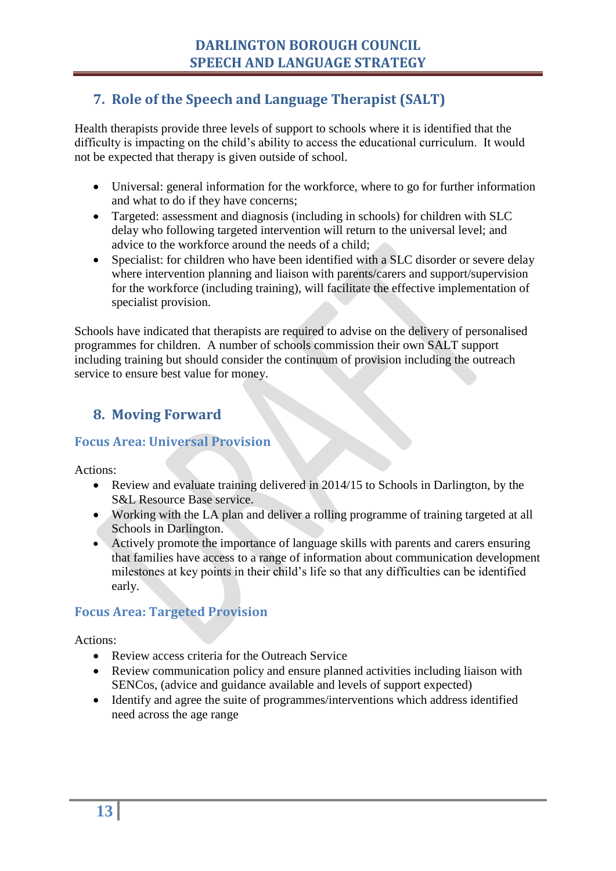# <span id="page-12-0"></span>**7. Role of the Speech and Language Therapist (SALT)**

Health therapists provide three levels of support to schools where it is identified that the difficulty is impacting on the child's ability to access the educational curriculum. It would not be expected that therapy is given outside of school.

- Universal: general information for the workforce, where to go for further information and what to do if they have concerns;
- Targeted: assessment and diagnosis (including in schools) for children with SLC delay who following targeted intervention will return to the universal level; and advice to the workforce around the needs of a child;
- Specialist: for children who have been identified with a SLC disorder or severe delay where intervention planning and liaison with parents/carers and support/supervision for the workforce (including training), will facilitate the effective implementation of specialist provision.

Schools have indicated that therapists are required to advise on the delivery of personalised programmes for children. A number of schools commission their own SALT support including training but should consider the continuum of provision including the outreach service to ensure best value for money.

# <span id="page-12-1"></span>**8. Moving Forward**

#### <span id="page-12-2"></span>**Focus Area: Universal Provision**

Actions:

- Review and evaluate training delivered in 2014/15 to Schools in Darlington, by the S&L Resource Base service.
- Working with the LA plan and deliver a rolling programme of training targeted at all Schools in Darlington.
- Actively promote the importance of language skills with parents and carers ensuring that families have access to a range of information about communication development milestones at key points in their child's life so that any difficulties can be identified early.

## <span id="page-12-3"></span>**Focus Area: Targeted Provision**

Actions:

- Review access criteria for the Outreach Service
- Review communication policy and ensure planned activities including liaison with SENCos, (advice and guidance available and levels of support expected)
- Identify and agree the suite of programmes/interventions which address identified need across the age range